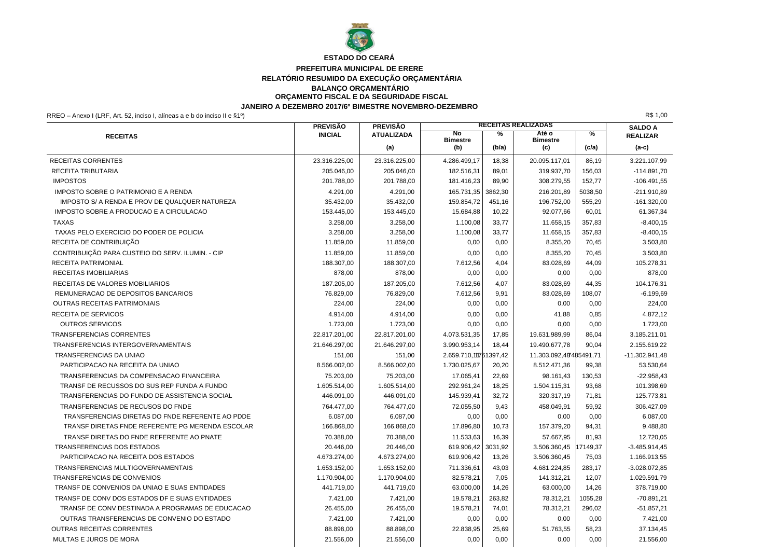

# **ESTADO DO CEARÁ**

# **PREFEITURA MUNICIPAL DE ERERE**

## **RELATÓRIO RESUMIDO DA EXECUÇÃO ORÇAMENTÁRIA**

**BALANÇO ORÇAMENTÁRIO ORÇAMENTO FISCAL E DA SEGURIDADE FISCAL**

### **JANEIRO A DEZEMBRO 2017/6º BIMESTRE NOVEMBRO-DEZEMBRO**

RREO – Anexo I (LRF, Art. 52, inciso I, alíneas a e b do inciso II e §1º) R\$ 1,00

|                                                  | <b>PREVISÃO</b> | <b>PREVISÃO</b>   | <b>RECEITAS REALIZADAS</b> |         | <b>SALDO A</b>           |               |                  |
|--------------------------------------------------|-----------------|-------------------|----------------------------|---------|--------------------------|---------------|------------------|
| <b>RECEITAS</b>                                  | <b>INICIAL</b>  | <b>ATUALIZADA</b> | No<br><b>Bimestre</b>      | ℅       | Até o<br><b>Bimestre</b> | $\frac{9}{6}$ | <b>REALIZAR</b>  |
|                                                  |                 | (a)               | (b)                        | (b/a)   | (c)                      | (c/a)         | $(a-c)$          |
| <b>RECEITAS CORRENTES</b>                        | 23.316.225,00   | 23.316.225,00     | 4.286.499,17               | 18,38   | 20.095.117,01            | 86,19         | 3.221.107,99     |
| <b>RECEITA TRIBUTARIA</b>                        | 205.046,00      | 205.046,00        | 182.516,31                 | 89,01   | 319.937,70               | 156,03        | $-114.891,70$    |
| <b>IMPOSTOS</b>                                  | 201.788,00      | 201.788,00        | 181.416,23                 | 89,90   | 308.279,55               | 152,77        | $-106.491,55$    |
| IMPOSTO SOBRE O PATRIMONIO E A RENDA             | 4.291,00        | 4.291,00          | 165.731,35                 | 3862,30 | 216.201,89               | 5038,50       | -211.910,89      |
| IMPOSTO S/ A RENDA E PROV DE QUALQUER NATUREZA   | 35.432,00       | 35.432,00         | 159.854,72                 | 451,16  | 196.752,00               | 555,29        | $-161.320,00$    |
| IMPOSTO SOBRE A PRODUCAO E A CIRCULACAO          | 153.445,00      | 153.445,00        | 15.684,88                  | 10,22   | 92.077,66                | 60,01         | 61.367,34        |
| <b>TAXAS</b>                                     | 3.258,00        | 3.258,00          | 1.100,08                   | 33,77   | 11.658,15                | 357,83        | $-8.400, 15$     |
| TAXAS PELO EXERCICIO DO PODER DE POLICIA         | 3.258,00        | 3.258,00          | 1.100,08                   | 33,77   | 11.658,15                | 357,83        | $-8.400, 15$     |
| RECEITA DE CONTRIBUIÇÃO                          | 11.859,00       | 11.859,00         | 0,00                       | 0,00    | 8.355,20                 | 70,45         | 3.503,80         |
| CONTRIBUIÇÃO PARA CUSTEIO DO SERV. ILUMIN. - CIP | 11.859,00       | 11.859,00         | 0,00                       | 0,00    | 8.355,20                 | 70,45         | 3.503,80         |
| <b>RECEITA PATRIMONIAL</b>                       | 188.307,00      | 188.307,00        | 7.612,56                   | 4,04    | 83.028,69                | 44,09         | 105.278,31       |
| RECEITAS IMOBILIARIAS                            | 878,00          | 878,00            | 0,00                       | 0,00    | 0,00                     | 0,00          | 878,00           |
| RECEITAS DE VALORES MOBILIARIOS                  | 187.205,00      | 187.205,00        | 7.612,56                   | 4,07    | 83.028,69                | 44,35         | 104.176,31       |
| REMUNERACAO DE DEPOSITOS BANCARIOS               | 76.829,00       | 76.829,00         | 7.612,56                   | 9,91    | 83.028,69                | 108,07        | $-6.199,69$      |
| <b>OUTRAS RECEITAS PATRIMONIAIS</b>              | 224,00          | 224,00            | 0,00                       | 0,00    | 0,00                     | 0,00          | 224,00           |
| <b>RECEITA DE SERVICOS</b>                       | 4.914,00        | 4.914,00          | 0.00                       | 0,00    | 41,88                    | 0,85          | 4.872,12         |
| <b>OUTROS SERVICOS</b>                           | 1.723,00        | 1.723,00          | 0,00                       | 0,00    | 0,00                     | 0,00          | 1.723,00         |
| <b>TRANSFERENCIAS CORRENTES</b>                  | 22.817.201,00   | 22.817.201,00     | 4.073.531,35               | 17,85   | 19.631.989,99            | 86,04         | 3.185.211,01     |
| TRANSFERENCIAS INTERGOVERNAMENTAIS               | 21.646.297,00   | 21.646.297,00     | 3.990.953,14               | 18,44   | 19.490.677,78            | 90,04         | 2.155.619,22     |
| TRANSFERENCIAS DA UNIAO                          | 151,00          | 151,00            | 2.659.710,11761397,42      |         | 11.303.092,48485491,71   |               | $-11.302.941,48$ |
| PARTICIPACAO NA RECEITA DA UNIAO                 | 8.566.002,00    | 8.566.002,00      | 1.730.025,67               | 20,20   | 8.512.471,36             | 99,38         | 53.530,64        |
| TRANSFERENCIAS DA COMPENSACAO FINANCEIRA         | 75.203,00       | 75.203,00         | 17.065,41                  | 22,69   | 98.161,43                | 130,53        | $-22.958,43$     |
| TRANSF DE RECUSSOS DO SUS REP FUNDA A FUNDO      | 1.605.514,00    | 1.605.514,00      | 292.961,24                 | 18,25   | 1.504.115,31             | 93,68         | 101.398,69       |
| TRANSFERENCIAS DO FUNDO DE ASSISTENCIA SOCIAL    | 446.091,00      | 446.091,00        | 145.939,41                 | 32,72   | 320.317,19               | 71,81         | 125.773,81       |
| TRANSFERENCIAS DE RECUSOS DO FNDE                | 764.477.00      | 764.477,00        | 72.055,50                  | 9,43    | 458.049.91               | 59,92         | 306.427,09       |
| TRANSFERENCIAS DIRETAS DO FNDE REFERENTE AO PDDE | 6.087,00        | 6.087,00          | 0,00                       | 0,00    | 0,00                     | 0,00          | 6.087,00         |
| TRANSF DIRETAS FNDE REFERENTE PG MERENDA ESCOLAR | 166.868,00      | 166.868,00        | 17.896,80                  | 10,73   | 157.379,20               | 94,31         | 9.488,80         |
| TRANSF DIRETAS DO FNDE REFERENTE AO PNATE        | 70.388,00       | 70.388,00         | 11.533,63                  | 16,39   | 57.667,95                | 81,93         | 12.720,05        |
| TRANSFERENCIAS DOS ESTADOS                       | 20.446,00       | 20.446,00         | 619.906,42                 | 3031,92 | 3.506.360,45             | 7149,37       | $-3.485.914,45$  |
| PARTICIPACAO NA RECEITA DOS ESTADOS              | 4.673.274,00    | 4.673.274,00      | 619.906,42                 | 13,26   | 3.506.360,45             | 75,03         | 1.166.913,55     |
| TRANSFERENCIAS MULTIGOVERNAMENTAIS               | 1.653.152,00    | 1.653.152,00      | 711.336,61                 | 43,03   | 4.681.224,85             | 283,17        | $-3.028.072.85$  |
| TRANSFERENCIAS DE CONVENIOS                      | 1.170.904,00    | 1.170.904,00      | 82.578,21                  | 7,05    | 141.312,21               | 12,07         | 1.029.591,79     |
| TRANSF DE CONVENIOS DA UNIAO E SUAS ENTIDADES    | 441.719,00      | 441.719,00        | 63.000,00                  | 14,26   | 63.000,00                | 14,26         | 378.719,00       |
| TRANSF DE CONV DOS ESTADOS DF E SUAS ENTIDADES   | 7.421,00        | 7.421,00          | 19.578.21                  | 263,82  | 78.312,21                | 1055,28       | $-70.891.21$     |
| TRANSF DE CONV DESTINADA A PROGRAMAS DE EDUCACAO | 26.455,00       | 26.455,00         | 19.578,21                  | 74,01   | 78.312,21                | 296,02        | $-51.857,21$     |
| OUTRAS TRANSFERENCIAS DE CONVENIO DO ESTADO      | 7.421,00        | 7.421,00          | 0,00                       | 0,00    | 0,00                     | 0,00          | 7.421,00         |
| <b>OUTRAS RECEITAS CORRENTES</b>                 | 88.898,00       | 88.898,00         | 22.838,95                  | 25,69   | 51.763,55                | 58,23         | 37.134,45        |
| MULTAS E JUROS DE MORA                           | 21.556,00       | 21.556,00         | 0,00                       | 0,00    | 0,00                     | 0,00          | 21.556,00        |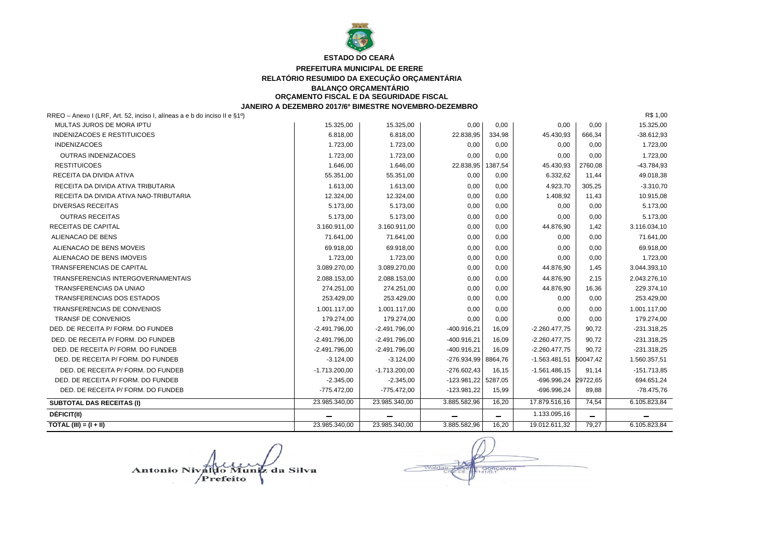

#### **PREFEITURA MUNICIPAL DE ERERE RELATÓRIO RESUMIDO DA EXECUÇÃO ORÇAMENTÁRIA BALANÇO ORÇAMENTÁRIO ORÇAMENTO FISCAL E DA SEGURIDADE FISCAL**

**JANEIRO A DEZEMBRO 2017/6º BIMESTRE NOVEMBRO-DEZEMBRO**

| TOTAL (III) = $(I + II)$                                                  | 23.985.340,00   | 23.985.340.00            | 3.885.582,96          | 16,20                    | 19.012.611,32    | 79,27                    | 6.105.823,84  |
|---------------------------------------------------------------------------|-----------------|--------------------------|-----------------------|--------------------------|------------------|--------------------------|---------------|
| <b>DÉFICIT(II)</b>                                                        |                 | $\overline{\phantom{0}}$ |                       | $\overline{\phantom{0}}$ | 1.133.095,16     | $\overline{\phantom{0}}$ |               |
| <b>SUBTOTAL DAS RECEITAS (I)</b>                                          | 23.985.340,00   | 23.985.340,00            | 3.885.582,96          | 16,20                    | 17.879.516,16    | 74,54                    | 6.105.823,84  |
| DED. DE RECEITA P/ FORM. DO FUNDEB                                        | $-775.472,00$   | $-775.472,00$            | -123.981,22           | 15,99                    | $-696.996,24$    | 89,88                    | $-78.475.76$  |
| DED. DE RECEITA P/ FORM. DO FUNDEB                                        | $-2.345,00$     | $-2.345,00$              | $-123.981,22$ 5287,05 |                          | -696.996,24      | 29722,65                 | 694.651,24    |
| DED. DE RECEITA P/ FORM. DO FUNDEB                                        | $-1.713.200,00$ | $-1.713.200,00$          | $-276.602,43$         | 16,15                    | $-1.561.486, 15$ | 91.14                    | $-151.713.85$ |
| DED. DE RECEITA P/ FORM. DO FUNDEB                                        | $-3.124,00$     | $-3.124,00$              | $-276.934.99$         | 8864,76                  | $-1.563.481.51$  | 50047,42                 | 1.560.357,51  |
| DED. DE RECEITA P/ FORM. DO FUNDEB                                        | $-2.491.796.00$ | $-2.491.796,00$          | $-400.916,21$         | 16,09                    | $-2.260.477,75$  | 90.72                    | $-231.318.25$ |
| DED. DE RECEITA P/ FORM. DO FUNDEB                                        | $-2.491.796,00$ | $-2.491.796,00$          | $-400.916,21$         | 16,09                    | $-2.260.477.75$  | 90,72                    | $-231.318,25$ |
| DED. DE RECEITA P/ FORM. DO FUNDEB                                        | $-2.491.796,00$ | $-2.491.796,00$          | $-400.916,21$         | 16,09                    | $-2.260.477.75$  | 90,72                    | $-231.318.25$ |
| <b>TRANSF DE CONVENIOS</b>                                                | 179.274,00      | 179.274,00               | 0,00                  | 0,00                     | 0,00             | 0,00                     | 179.274,00    |
| <b>TRANSFERENCIAS DE CONVENIOS</b>                                        | 1.001.117,00    | 1.001.117.00             | 0,00                  | 0,00                     | 0,00             | 0,00                     | 1.001.117,00  |
| TRANSFERENCIAS DOS ESTADOS                                                | 253.429,00      | 253.429,00               | 0,00                  | 0,00                     | 0,00             | 0,00                     | 253.429,00    |
| TRANSFERENCIAS DA UNIAO                                                   | 274.251,00      | 274.251,00               | 0,00                  | 0.00                     | 44.876,90        | 16,36                    | 229.374,10    |
| TRANSFERENCIAS INTERGOVERNAMENTAIS                                        | 2.088.153.00    | 2.088.153.00             | 0,00                  | 0.00                     | 44.876.90        | 2,15                     | 2.043.276,10  |
| TRANSFERENCIAS DE CAPITAL                                                 | 3.089.270,00    | 3.089.270,00             | 0,00                  | 0,00                     | 44.876,90        | 1,45                     | 3.044.393,10  |
| ALIENACAO DE BENS IMOVEIS                                                 | 1.723,00        | 1.723,00                 | 0,00                  | 0,00                     | 0,00             | 0,00                     | 1.723,00      |
| ALIENACAO DE BENS MOVEIS                                                  | 69.918,00       | 69.918,00                | 0,00                  | 0.00                     | 0,00             | 0,00                     | 69.918,00     |
| ALIENACAO DE BENS                                                         | 71.641,00       | 71.641,00                | 0,00                  | 0,00                     | 0,00             | 0,00                     | 71.641,00     |
| <b>RECEITAS DE CAPITAL</b>                                                | 3.160.911,00    | 3.160.911,00             | 0,00                  | 0.00                     | 44.876,90        | 1,42                     | 3.116.034,10  |
| <b>OUTRAS RECEITAS</b>                                                    | 5.173,00        | 5.173,00                 | 0,00                  | 0,00                     | 0,00             | 0,00                     | 5.173,00      |
| DIVERSAS RECEITAS                                                         | 5.173,00        | 5.173,00                 | 0,00                  | 0,00                     | 0,00             | 0,00                     | 5.173,00      |
| RECEITA DA DIVIDA ATIVA NAO-TRIBUTARIA                                    | 12.324,00       | 12.324,00                | 0,00                  | 0,00                     | 1.408,92         | 11,43                    | 10.915,08     |
| RECEITA DA DIVIDA ATIVA TRIBUTARIA                                        | 1.613,00        | 1.613,00                 | 0,00                  | 0,00                     | 4.923,70         | 305,25                   | $-3.310,70$   |
| RECEITA DA DIVIDA ATIVA                                                   | 55.351,00       | 55.351,00                | 0,00                  | 0,00                     | 6.332,62         | 11,44                    | 49.018,38     |
| <b>RESTITUICOES</b>                                                       | 1.646,00        | 1.646,00                 | 22.838,95             | 1387.54                  | 45.430,93        | 2760,08                  | $-43.784.93$  |
| <b>OUTRAS INDENIZACOES</b>                                                | 1.723,00        | 1.723,00                 | 0.00                  | 0,00                     | 0,00             | 0,00                     | 1.723,00      |
| <b>INDENIZACOES</b>                                                       | 1.723,00        | 1.723,00                 | 0,00                  | 0,00                     | 0,00             | 0,00                     | 1.723,00      |
| <b>INDENIZACOES E RESTITUICOES</b>                                        | 6.818,00        | 6.818,00                 | 22.838,95             | 334,98                   | 45.430,93        | 666,34                   | $-38.612,93$  |
| MULTAS JUROS DE MORA IPTU                                                 | 15.325,00       | 15.325,00                | 0,00                  | 0,00                     | 0,00             | 0,00                     | 15.325,00     |
| RREO - Anexo I (LRF, Art. 52, inciso I, alíneas a e b do inciso II e §1º) |                 |                          |                       |                          |                  |                          | R\$ 1,00      |

Antonio Nivaldo Muniz da Silva

**ancalves**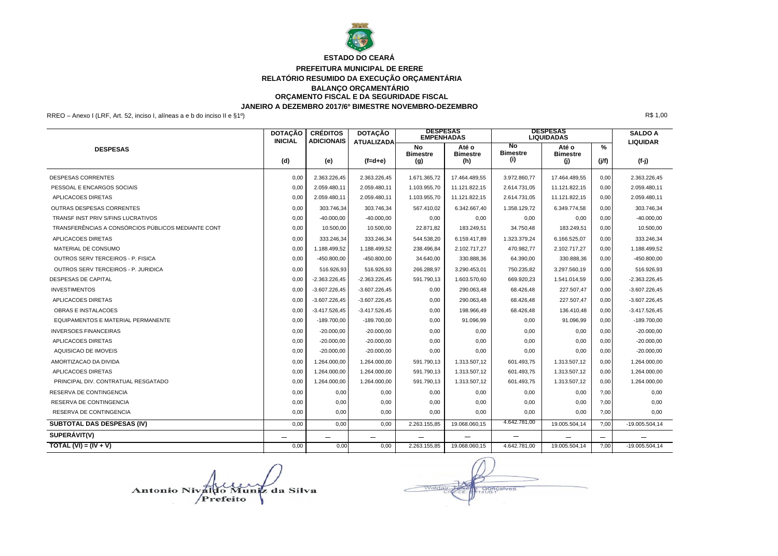

#### **PREFEITURA MUNICIPAL DE ERERE RELATÓRIO RESUMIDO DA EXECUÇÃO ORÇAMENTÁRIA BALANÇO ORÇAMENTÁRIO ORÇAMENTO FISCAL E DA SEGURIDADE FISCAL JANEIRO A DEZEMBRO 2017/6º BIMESTRE NOVEMBRO-DEZEMBRO**

RREO – Anexo I (LRF, Art. 52, inciso I, alíneas a e b do inciso II e §1º) R\$ 1,00

|                                                    | <b>DOTAÇÃO</b><br><b>INICIAL</b> | <b>CRÉDITOS</b><br><b>ADICIONAIS</b> | <b>DOTAÇÃO</b><br><b>ATUALIZADA</b> | <b>DESPESAS</b><br><b>EMPENHADAS</b> |                                 | <b>DESPESAS</b><br><b>LIQUIDADAS</b> | <b>SALDO A</b><br><b>LIQUIDAR</b> |            |                  |
|----------------------------------------------------|----------------------------------|--------------------------------------|-------------------------------------|--------------------------------------|---------------------------------|--------------------------------------|-----------------------------------|------------|------------------|
| <b>DESPESAS</b>                                    | (d)                              | (e)                                  | $(f=d+e)$                           | No<br><b>Bimestre</b><br>(g)         | Até o<br><b>Bimestre</b><br>(h) | No<br><b>Bimestre</b><br>(i)         | Até o<br><b>Bimestre</b><br>(i)   | %<br>(j/f) | (f-j)            |
| <b>DESPESAS CORRENTES</b>                          | 0.00                             | 2.363.226,45                         | 2.363.226,45                        | 1.671.365,72                         | 17.464.489,55                   | 3.972.860.77                         | 17.464.489.55                     | 0,00       | 2.363.226,45     |
| PESSOAL E ENCARGOS SOCIAIS                         | 0,00                             | 2.059.480,11                         | 2.059.480,11                        | 1.103.955,70                         | 11.121.822,15                   | 2.614.731,05                         | 11.121.822,15                     | 0,00       | 2.059.480,11     |
| APLICACOES DIRETAS                                 | 0,00                             | 2.059.480,11                         | 2.059.480,11                        | 1.103.955,70                         | 11.121.822,15                   | 2.614.731,05                         | 11.121.822,15                     | 0,00       | 2.059.480,11     |
| <b>OUTRAS DESPESAS CORRENTES</b>                   | 0,00                             | 303.746,34                           | 303.746,34                          | 567.410,02                           | 6.342.667,40                    | 1.358.129,72                         | 6.349.774.58                      | 0,00       | 303.746,34       |
| TRANSE INST PRIV S/FINS LUCRATIVOS                 | 0,00                             | $-40.000,00$                         | $-40.000.00$                        | 0,00                                 | 0,00                            | 0,00                                 | 0,00                              | 0,00       | $-40.000,00$     |
| TRANSFERÊNCIAS A CONSÓRCIOS PÚBLICOS MEDIANTE CONT | 0,00                             | 10.500,00                            | 10.500,00                           | 22.871,82                            | 183.249,51                      | 34.750,48                            | 183.249,51                        | 0,00       | 10.500,00        |
| <b>APLICACOES DIRETAS</b>                          | 0,00                             | 333.246,34                           | 333.246,34                          | 544.538,20                           | 6.159.417,89                    | 1.323.379,24                         | 6.166.525.07                      | 0,00       | 333.246,34       |
| MATERIAL DE CONSUMO                                | 0,00                             | 1.188.499,52                         | 1.188.499,52                        | 238.496,84                           | 2.102.717,27                    | 470.982,77                           | 2.102.717,27                      | 0,00       | 1.188.499,52     |
| OUTROS SERV TERCEIROS - P. FISICA                  | 0,00                             | $-450.800,00$                        | $-450.800,00$                       | 34.640,00                            | 330.888,36                      | 64.390,00                            | 330.888,36                        | 0,00       | $-450.800,00$    |
| <b>OUTROS SERV TERCEIROS - P. JURIDICA</b>         | 0,00                             | 516.926,93                           | 516.926,93                          | 266.288,97                           | 3.290.453,01                    | 750.235,82                           | 3.297.560.19                      | 0,00       | 516.926.93       |
| DESPESAS DE CAPITAL                                | 0.00                             | $-2.363.226,45$                      | $-2.363.226,45$                     | 591.790,13                           | 1.603.570.60                    | 669.920.23                           | 1.541.014.59                      | 0,00       | $-2.363.226.45$  |
| <b>INVESTIMENTOS</b>                               | 0.00                             | $-3.607.226,45$                      | $-3.607.226,45$                     | 0,00                                 | 290.063,48                      | 68.426,48                            | 227.507,47                        | 0,00       | $-3.607.226,45$  |
| <b>APLICACOES DIRETAS</b>                          | 0.00                             | $-3.607.226,45$                      | $-3.607.226,45$                     | 0,00                                 | 290.063,48                      | 68.426,48                            | 227.507,47                        | 0,00       | $-3.607.226.45$  |
| <b>OBRAS E INSTALACOES</b>                         | 0,00                             | $-3.417.526.45$                      | $-3.417.526,45$                     | 0,00                                 | 198.966,49                      | 68.426,48                            | 136.410,48                        | 0,00       | $-3.417.526.45$  |
| EQUIPAMENTOS E MATERIAL PERMANENTE                 | 0.00                             | $-189.700.00$                        | $-189.700,00$                       | 0,00                                 | 91.096,99                       | 0.00                                 | 91.096.99                         | 0.00       | $-189.700.00$    |
| <b>INVERSOES FINANCEIRAS</b>                       | 0,00                             | $-20.000,00$                         | $-20.000,00$                        | 0,00                                 | 0,00                            | 0,00                                 | 0,00                              | 0,00       | $-20.000,00$     |
| <b>APLICACOES DIRETAS</b>                          | 0,00                             | $-20.000,00$                         | $-20.000,00$                        | 0,00                                 | 0,00                            | 0,00                                 | 0,00                              | 0,00       | $-20.000,00$     |
| AQUISICAO DE IMOVEIS                               | 0,00                             | $-20.000,00$                         | $-20.000,00$                        | 0,00                                 | 0,00                            | 0,00                                 | 0,00                              | 0,00       | $-20.000,00$     |
| AMORTIZACAO DA DIVIDA                              | 0,00                             | 1.264.000,00                         | 1.264.000,00                        | 591.790,13                           | 1.313.507,12                    | 601.493,75                           | 1.313.507,12                      | 0,00       | 1.264.000,00     |
| <b>APLICACOES DIRETAS</b>                          | 0.00                             | 1.264.000,00                         | 1.264.000,00                        | 591.790,13                           | 1.313.507,12                    | 601.493,75                           | 1.313.507,12                      | 0,00       | 1.264.000,00     |
| PRINCIPAL DIV. CONTRATUAL RESGATADO                | 0,00                             | 1.264.000,00                         | 1.264.000,00                        | 591.790,13                           | 1.313.507,12                    | 601.493,75                           | 1.313.507,12                      | 0,00       | 1.264.000,00     |
| RESERVA DE CONTINGENCIA                            | 0,00                             | 0,00                                 | 0,00                                | 0,00                                 | 0,00                            | 0,00                                 | 0,00                              | ?,00       | 0,00             |
| RESERVA DE CONTINGENCIA                            | 0,00                             | 0,00                                 | 0,00                                | 0,00                                 | 0,00                            | 0,00                                 | 0,00                              | 7,00       | 0,00             |
| RESERVA DE CONTINGENCIA                            | 0,00                             | 0,00                                 | 0,00                                | 0,00                                 | 0.00                            | 0.00                                 | 0.00                              | ?,00       | 0,00             |
| SUBTOTAL DAS DESPESAS (IV)                         | 0,00                             | 0,00                                 | 0,00                                | 2.263.155,85                         | 19.068.060,15                   | 4.642.781,00                         | 19.005.504,14                     | ?00        | $-19.005.504,14$ |
| SUPERÁVIT(V)                                       |                                  |                                      |                                     |                                      | $\qquad \qquad$                 |                                      |                                   |            |                  |
| TOTAL (VI) = $(IV + V)$                            | 0,00                             | 0,00                                 | 0,00                                | 2.263.155,85                         | 19.068.060,15                   | 4.642.781,00                         | 19.005.504,14                     | ?00        | $-19.005.504,14$ |

Antonio Nivaldo Muniz da Silva Prefeito

Gonçalves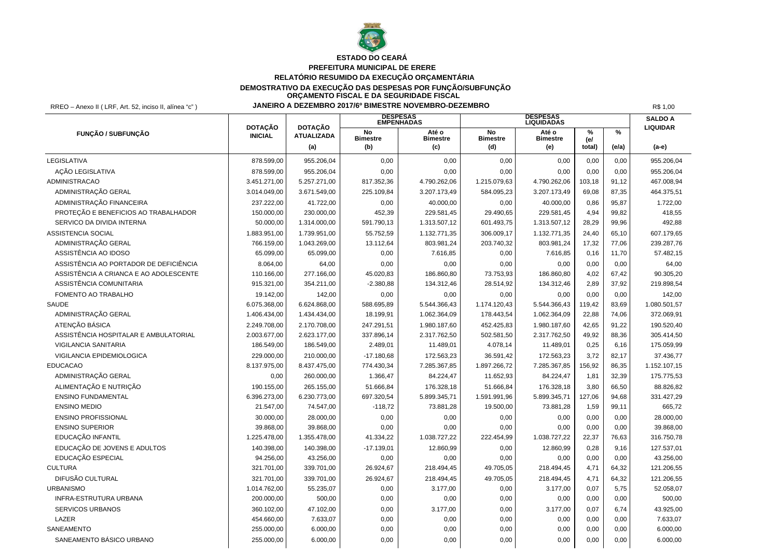

# **ESTADO DO CEARÁ**

#### **PREFEITURA MUNICIPAL DE ERERE RELATÓRIO RESUMIDO DA EXECUÇÃO ORÇAMENTÁRIA DEMOSTRATIVO DA EXECUÇÃO DAS DESPESAS POR FUNÇÃO/SUBFUNÇÃO**

**ORÇAMENTO FISCAL E DA SEGURIDADE FISCAL**

RREO – Anexo II ( LRF, Art. 52, inciso II, alínea "c" ) **JANEIRO A DEZEMBRO 2017/6º BIMESTRE NOVEMBRO-DEZEMBRO** R\$ 1,00

|                                        | <b>DOTAÇÃO</b> | <b>DOTAÇÃO</b>           |                              | <b>DESPESAS<br/>EMPENHADAS</b>  |                              | <b>DESPESAS<br/>LIQUIDADAS</b>  |                       |            | <b>SALDO A</b><br><b>LIQUIDAR</b> |
|----------------------------------------|----------------|--------------------------|------------------------------|---------------------------------|------------------------------|---------------------------------|-----------------------|------------|-----------------------------------|
| FUNÇÃO / SUBFUNÇÃO                     | <b>INICIAL</b> | <b>ATUALIZADA</b><br>(a) | No<br><b>Bimestre</b><br>(b) | Até o<br><b>Bimestre</b><br>(c) | No<br><b>Bimestre</b><br>(d) | Até o<br><b>Bimestre</b><br>(e) | $\%$<br>(e)<br>total) | %<br>(e/a) | (a-e)                             |
|                                        |                |                          |                              |                                 |                              |                                 |                       |            |                                   |
| LEGISLATIVA                            | 878.599,00     | 955.206,04               | 0,00                         | 0,00                            | 0,00                         | 0,00                            | 0,00                  | 0,00       | 955.206,04                        |
| AÇÃO LEGISLATIVA                       | 878.599,00     | 955.206,04               | 0,00                         | 0,00                            | 0,00                         | 0,00                            | 0,00                  | 0,00       | 955.206,04                        |
| ADMINISTRACAO                          | 3.451.271,00   | 5.257.271,00             | 817.352,36                   | 4.790.262,06                    | 1.215.079,63                 | 4.790.262,06                    | 103,18                | 91,12      | 467.008,94                        |
| ADMINISTRAÇÃO GERAL                    | 3.014.049,00   | 3.671.549,00             | 225.109,84                   | 3.207.173,49                    | 584.095,23                   | 3.207.173,49                    | 69,08                 | 87,35      | 464.375,51                        |
| ADMINISTRAÇÃO FINANCEIRA               | 237.222,00     | 41.722,00                | 0,00                         | 40.000,00                       | 0,00                         | 40.000,00                       | 0.86                  | 95.87      | 1.722,00                          |
| PROTEÇÃO E BENEFICIOS AO TRABALHADOR   | 150.000,00     | 230.000,00               | 452,39                       | 229.581,45                      | 29.490,65                    | 229.581,45                      | 4.94                  | 99.82      | 418,55                            |
| SERVICO DA DIVIDA INTERNA              | 50.000,00      | 1.314.000,00             | 591.790,13                   | 1.313.507,12                    | 601.493,75                   | 1.313.507,12                    | 28,29                 | 99,96      | 492,88                            |
| <b>ASSISTENCIA SOCIAL</b>              | 1.883.951,00   | 1.739.951,00             | 55.752,59                    | 1.132.771,35                    | 306.009,17                   | 1.132.771,35                    | 24,40                 | 65,10      | 607.179,65                        |
| ADMINISTRAÇÃO GERAL                    | 766.159,00     | 1.043.269,00             | 13.112,64                    | 803.981,24                      | 203.740,32                   | 803.981,24                      | 17,32                 | 77,06      | 239.287,76                        |
| ASSISTÊNCIA AO IDOSO                   | 65.099,00      | 65.099,00                | 0,00                         | 7.616,85                        | 0,00                         | 7.616,85                        | 0,16                  | 11,70      | 57.482,15                         |
| ASSISTÊNCIA AO PORTADOR DE DEFICIÊNCIA | 8.064,00       | 64,00                    | 0,00                         | 0,00                            | 0,00                         | 0,00                            | 0,00                  | 0,00       | 64,00                             |
| ASSISTÊNCIA A CRIANCA E AO ADOLESCENTE | 110.166,00     | 277.166,00               | 45.020,83                    | 186.860,80                      | 73.753,93                    | 186.860,80                      | 4,02                  | 67,42      | 90.305,20                         |
| ASSISTÊNCIA COMUNITARIA                | 915.321,00     | 354.211,00               | $-2.380,88$                  | 134.312,46                      | 28.514,92                    | 134.312,46                      | 2,89                  | 37,92      | 219.898,54                        |
| FOMENTO AO TRABALHO                    | 19.142,00      | 142,00                   | 0,00                         | 0,00                            | 0,00                         | 0,00                            | 0.00                  | 0,00       | 142,00                            |
| <b>SAUDE</b>                           | 6.075.368,00   | 6.624.868,00             | 588.695,89                   | 5.544.366,43                    | 1.174.120,43                 | 5.544.366,43                    | 119.42                | 83,69      | 1.080.501,57                      |
| ADMINISTRAÇÃO GERAL                    | 1.406.434,00   | 1.434.434,00             | 18.199,91                    | 1.062.364,09                    | 178.443,54                   | 1.062.364,09                    | 22,88                 | 74,06      | 372.069,91                        |
| ATENÇÃO BÁSICA                         | 2.249.708,00   | 2.170.708,00             | 247.291,51                   | 1.980.187,60                    | 452.425,83                   | 1.980.187,60                    | 42,65                 | 91,22      | 190.520,40                        |
| ASSISTÊNCIA HOSPITALAR E AMBULATORIAL  | 2.003.677,00   | 2.623.177,00             | 337.896,14                   | 2.317.762,50                    | 502.581,50                   | 2.317.762,50                    | 49,92                 | 88,36      | 305.414,50                        |
| VIGILANCIA SANITARIA                   | 186.549,00     | 186.549,00               | 2.489,01                     | 11.489,01                       | 4.078,14                     | 11.489,01                       | 0,25                  | 6,16       | 175.059,99                        |
| VIGILANCIA EPIDEMIOLOGICA              | 229.000,00     | 210.000,00               | $-17.180,68$                 | 172.563,23                      | 36.591,42                    | 172.563,23                      | 3,72                  | 82,17      | 37.436,77                         |
| <b>EDUCACAO</b>                        | 8.137.975,00   | 8.437.475,00             | 774.430,34                   | 7.285.367,85                    | 1.897.266,72                 | 7.285.367,85                    | 156,92                | 86,35      | 1.152.107,15                      |
| ADMINISTRAÇÃO GERAL                    | 0,00           | 260.000,00               | 1.366,47                     | 84.224,47                       | 11.652,93                    | 84.224,47                       | 1,81                  | 32,39      | 175.775,53                        |
| ALIMENTAÇÃO E NUTRIÇÃO                 | 190.155,00     | 265.155,00               | 51.666,84                    | 176.328,18                      | 51.666,84                    | 176.328,18                      | 3,80                  | 66,50      | 88.826,82                         |
| <b>ENSINO FUNDAMENTAL</b>              | 6.396.273,00   | 6.230.773,00             | 697.320,54                   | 5.899.345,71                    | 1.591.991,96                 | 5.899.345,71                    | 127,06                | 94,68      | 331.427,29                        |
| <b>ENSINO MEDIO</b>                    | 21.547,00      | 74.547,00                | $-118,72$                    | 73.881,28                       | 19.500,00                    | 73.881,28                       | 1,59                  | 99,11      | 665,72                            |
| <b>ENSINO PROFISSIONAL</b>             | 30.000,00      | 28.000,00                | 0,00                         | 0,00                            | 0,00                         | 0,00                            | 0,00                  | 0,00       | 28.000,00                         |
| <b>ENSINO SUPERIOR</b>                 | 39.868,00      | 39.868,00                | 0,00                         | 0,00                            | 0,00                         | 0,00                            | 0,00                  | 0,00       | 39.868,00                         |
| EDUCAÇÃO INFANTIL                      | 1.225.478,00   | 1.355.478,00             | 41.334,22                    | 1.038.727,22                    | 222.454,99                   | 1.038.727,22                    | 22,37                 | 76,63      | 316.750,78                        |
| EDUCAÇÃO DE JOVENS E ADULTOS           | 140.398,00     | 140.398,00               | $-17.139,01$                 | 12.860,99                       | 0,00                         | 12.860,99                       | 0,28                  | 9,16       | 127.537,01                        |
| EDUCAÇÃO ESPECIAL                      | 94.256,00      | 43.256,00                | 0,00                         | 0,00                            | 0,00                         | 0,00                            | 0,00                  | 0,00       | 43.256,00                         |
| <b>CULTURA</b>                         | 321.701,00     | 339.701,00               | 26.924,67                    | 218.494,45                      | 49.705,05                    | 218.494,45                      | 4,71                  | 64,32      | 121.206,55                        |
| DIFUSÃO CULTURAL                       | 321.701,00     | 339.701,00               | 26.924,67                    | 218.494,45                      | 49.705,05                    | 218.494,45                      | 4,71                  | 64.32      | 121.206,55                        |
| <b>URBANISMO</b>                       | 1.014.762,00   | 55.235,07                | 0,00                         | 3.177,00                        | 0,00                         | 3.177,00                        | 0,07                  | 5,75       | 52.058,07                         |
| INFRA-ESTRUTURA URBANA                 | 200.000,00     | 500,00                   | 0,00                         | 0,00                            | 0,00                         | 0,00                            | 0,00                  | 0,00       | 500,00                            |
| <b>SERVICOS URBANOS</b>                | 360.102,00     | 47.102,00                | 0,00                         | 3.177,00                        | 0,00                         | 3.177,00                        | 0,07                  | 6,74       | 43.925,00                         |
| LAZER                                  | 454.660,00     | 7.633,07                 | 0,00                         | 0,00                            | 0,00                         | 0,00                            | 0,00                  | 0,00       | 7.633,07                          |
| SANEAMENTO                             | 255.000,00     | 6.000,00                 | 0,00                         | 0,00                            | 0,00                         | 0,00                            | 0,00                  | 0,00       | 6.000,00                          |
| SANEAMENTO BÁSICO URBANO               | 255.000,00     | 6.000,00                 | 0,00                         | 0,00                            | 0,00                         | 0,00                            | 0,00                  | 0,00       | 6.000,00                          |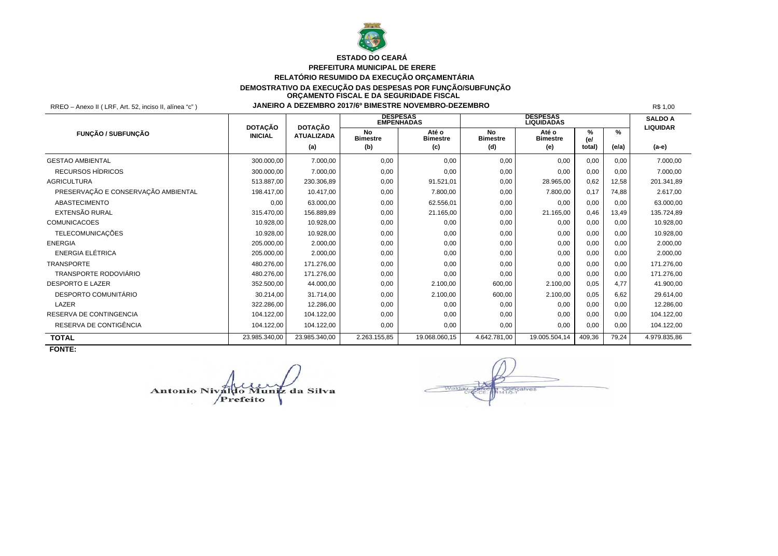

# **ESTADO DO CEARÁ**

#### **PREFEITURA MUNICIPAL DE ERERE RELATÓRIO RESUMIDO DA EXECUÇÃO ORÇAMENTÁRIA DEMOSTRATIVO DA EXECUÇÃO DAS DESPESAS POR FUNÇÃO/SUBFUNÇÃO ORÇAMENTO FISCAL E DA SEGURIDADE FISCAL**

RREO – Anexo II ( LRF, Art. 52, inciso II, alínea "c" ) **JANEIRO A DEZEMBRO 2017/6º BIMESTRE NOVEMBRO-DEZEMBRO** R\$ 1,00

|                                     | <b>DOTAÇÃO</b> | <b>DOTAÇÃO</b>    |                       | <b>DESPESAS</b><br><b>EMPÉNHADAS</b> |                        | <b>DESPESAS</b><br><b>LIQUIDADAS</b> |          |       | <b>SALDO A</b><br><b>LIQUIDAR</b> |
|-------------------------------------|----------------|-------------------|-----------------------|--------------------------------------|------------------------|--------------------------------------|----------|-------|-----------------------------------|
| <b>FUNCÃO / SUBFUNCÃO</b>           | <b>INICIAL</b> | <b>ATUALIZADA</b> | No<br><b>Bimestre</b> | Até o<br><b>Bimestre</b>             | No.<br><b>Bimestre</b> | Até o<br><b>Bimestre</b>             | ℅<br>(e) | ℅     |                                   |
|                                     |                | (a)               | (b)                   | (c)                                  | (d)                    | (e)                                  | total)   | (e/a) | (a-e)                             |
| <b>GESTAO AMBIENTAL</b>             | 300.000,00     | 7.000,00          | 0,00                  | 0.00                                 | 0,00                   | 0,00                                 | 0,00     | 0,00  | 7.000,00                          |
| RECURSOS HÍDRICOS                   | 300.000,00     | 7.000,00          | 0,00                  | 0,00                                 | 0,00                   | 0,00                                 | 0,00     | 0,00  | 7.000,00                          |
| <b>AGRICULTURA</b>                  | 513.887,00     | 230.306,89        | 0,00                  | 91.521,01                            | 0,00                   | 28.965,00                            | 0,62     | 12,58 | 201.341,89                        |
| PRESERVAÇÃO E CONSERVAÇÃO AMBIENTAL | 198.417,00     | 10.417,00         | 0,00                  | 7.800,00                             | 0,00                   | 7.800,00                             | 0,17     | 74,88 | 2.617,00                          |
| <b>ABASTECIMENTO</b>                | 0,00           | 63.000.00         | 0,00                  | 62.556,01                            | 0,00                   | 0,00                                 | 0,00     | 0.00  | 63.000.00                         |
| EXTENSÃO RURAL                      | 315.470,00     | 156.889,89        | 0,00                  | 21.165,00                            | 0,00                   | 21.165,00                            | 0.46     | 13,49 | 135.724,89                        |
| <b>COMUNICACOES</b>                 | 10.928,00      | 10.928,00         | 0,00                  | 0,00                                 | 0,00                   | 0,00                                 | 0,00     | 0,00  | 10.928,00                         |
| <b>TELECOMUNICAÇÕES</b>             | 10.928.00      | 10.928.00         | 0,00                  | 0,00                                 | 0,00                   | 0,00                                 | 0.00     | 0.00  | 10.928.00                         |
| <b>ENERGIA</b>                      | 205.000.00     | 2.000.00          | 0,00                  | 0,00                                 | 0,00                   | 0,00                                 | 0,00     | 0.00  | 2.000.00                          |
| <b>ENERGIA ELÉTRICA</b>             | 205.000,00     | 2.000,00          | 0,00                  | 0,00                                 | 0,00                   | 0,00                                 | 0,00     | 0,00  | 2.000,00                          |
| <b>TRANSPORTE</b>                   | 480.276,00     | 171.276,00        | 0,00                  | 0,00                                 | 0,00                   | 0,00                                 | 0,00     | 0.00  | 171.276,00                        |
| TRANSPORTE RODOVIÁRIO               | 480.276,00     | 171.276,00        | 0,00                  | 0,00                                 | 0,00                   | 0,00                                 | 0,00     | 0.00  | 171.276,00                        |
| <b>DESPORTO E LAZER</b>             | 352.500,00     | 44.000,00         | 0,00                  | 2.100,00                             | 600,00                 | 2.100,00                             | 0,05     | 4.77  | 41.900,00                         |
| DESPORTO COMUNITÁRIO                | 30.214,00      | 31.714,00         | 0,00                  | 2.100,00                             | 600,00                 | 2.100,00                             | 0,05     | 6,62  | 29.614.00                         |
| LAZER                               | 322.286,00     | 12.286,00         | 0,00                  | 0.00                                 | 0,00                   | 0,00                                 | 0,00     | 0.00  | 12.286,00                         |
| RESERVA DE CONTINGENCIA             | 104.122,00     | 104.122,00        | 0,00                  | 0,00                                 | 0,00                   | 0,00                                 | 0,00     | 0,00  | 104.122,00                        |
| RESERVA DE CONTIGÊNCIA              | 104.122,00     | 104.122,00        | 0,00                  | 0,00                                 | 0,00                   | 0,00                                 | 0,00     | 0,00  | 104.122,00                        |
| <b>TOTAL</b>                        | 23.985.340,00  | 23.985.340,00     | 2.263.155,85          | 19.068.060,15                        | 4.642.781,00           | 19.005.504,14                        | 409,36   | 79,24 | 4.979.835,86                      |

**FONTE:**

Antonio Nivaldo Muniz da Silva

sonçalves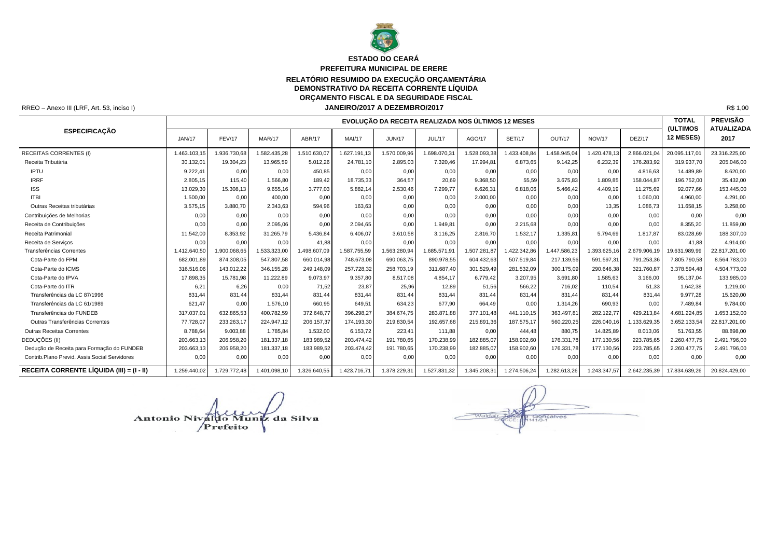

#### **PREFEITURA MUNICIPAL DE ERERE ESTADO DO CEARÁ**

# **RELATÓRIO RESUMIDO DA EXECUÇÃO ORÇAMENTÁRIA**

**DEMONSTRATIVO DA RECEITA CORRENTE LÍQUIDA**

**ORÇAMENTO FISCAL E DA SEGURIDADE FISCAL**

RREO – Anexo III (LRF, Art. 53, inciso I) R\$ 1,00 **JANEIRO/2017 A DEZEMBRO/2017**

|                                               |               |               |              |              |               | EVOLUÇÃO DA RECEITA REALIZADA NOS ÚLTIMOS 12 MESES |              |              |               |              |               |               | <b>TOTAL</b><br><b>(ULTIMOS</b> | <b>PREVISÃO</b><br><b>ATUALIZADA</b> |
|-----------------------------------------------|---------------|---------------|--------------|--------------|---------------|----------------------------------------------------|--------------|--------------|---------------|--------------|---------------|---------------|---------------------------------|--------------------------------------|
| <b>ESPECIFICAÇÃO</b>                          | <b>JAN/17</b> | <b>FEV/17</b> | MAR/17       | ABR/17       | <b>MAI/17</b> | <b>JUN/17</b>                                      | JUL/17       | AGO/17       | <b>SET/17</b> | OUT/17       | <b>NOV/17</b> | <b>DEZ/17</b> | 12 MESES)                       | 2017                                 |
| <b>RECEITAS CORRENTES (I)</b>                 | 1.463.103,15  | 1.936.730,68  | .582.435,28  | 1.510.630,07 | 1.627.191.13  | 1.570.009,96                                       | .698.070.3   | 1.528.093,38 | .433.408.84   | 1.458.945.04 | .420.478,13   | 2.866.021,0   | 20.095.117.01                   | 23.316.225.00                        |
| Receita Tributária                            | 30.132,01     | 19.304,23     | 13.965,59    | 5.012,26     | 24.781,10     | 2.895,03                                           | 7.320,46     | 17.994,81    | 6.873,65      | 9.142,25     | 6.232,39      | 176.283,92    | 319.937,70                      | 205.046,00                           |
| <b>IPTU</b>                                   | 9.222.41      | 0,00          | 0.00         | 450.85       | 0,00          | 0.00                                               | 0,00         | 0,00         | 0,00          | 0,00         | 0.00          | 4.816.63      | 14.489.89                       | 8.620,00                             |
| <b>IRRF</b>                                   | 2.805,15      | 115,40        | 1.566,80     | 189.42       | 18.735,33     | 364,57                                             | 20.69        | 9.368,50     | 55,59         | 3.675,83     | 1.809,85      | 158.044.87    | 196.752.00                      | 35.432,00                            |
| <b>ISS</b>                                    | 13.029,30     | 15.308,13     | 9.655,16     | 3.777,03     | 5.882.14      | 2.530,46                                           | 7.299,77     | 6.626,31     | 6.818,06      | 5.466,42     | 4.409,19      | 11.275,69     | 92.077.66                       | 153.445,00                           |
| <b>ITBI</b>                                   | 1.500,00      | 0,00          | 400,00       | 0,00         | 0,00          | 0,00                                               | 0,00         | 2.000,00     | 0,00          | 0,00         | 0,00          | 1.060,00      | 4.960.00                        | 4.291,00                             |
| Outras Receitas tributárias                   | 3.575,15      | 3.880,70      | 2.343,63     | 594,96       | 163,63        | 0,00                                               | 0,00         | 0,00         | 0,00          | 0,00         | 13,35         | 1.086,73      | 11.658,15                       | 3.258,00                             |
| Contribuições de Melhorias                    | 0,00          | 0,00          | 0.00         | 0.00         | 0.00          | 0,00                                               | 0.00         | 0,00         | 0,00          | 0,00         | 0.00          | 0.00          | 0.00                            | 0.00                                 |
| Receita de Contribuições                      | 0,00          | 0,00          | 2.095,06     | 0,00         | 2.094,65      | 0,00                                               | 1.949,81     | 0,00         | 2.215,68      | 0,00         | 0,00          | 0.00          | 8.355,20                        | 11.859,00                            |
| Receita Patrimonial                           | 11.542,00     | 8.353,92      | 31.265,79    | 5.436,84     | 6.406,07      | 3.610,58                                           | 3.116,25     | 2.816,70     | 1.532,17      | 1.335,81     | 5.794,69      | 1.817,87      | 83.028.69                       | 188.307,00                           |
| Receita de Servicos                           | 0,00          | 0,00          | 0,00         | 41,88        | 0,00          | 0,00                                               | 0,00         | 0,00         | 0,00          | 0,00         | 0,00          | 0.00          | 41.88                           | 4.914,00                             |
| Transferências Correntes                      | 1.412.640,50  | 1.900.068,65  | 1.533.323,00 | 498.607,09   | 1.587.755,59  | 1.563.280,94                                       | .685.571,91  | 1.507.281,87 | 1.422.342,86  | 1.447.586,23 | 1.393.625,16  | 2.679.906,19  | 19.631.989,99                   | 22.817.201,00                        |
| Cota-Parte do FPM                             | 682.001.89    | 874.308.05    | 547.807.58   | 660.014.98   | 748.673,08    | 690.063,75                                         | 890.978,55   | 604.432.63   | 507.519.84    | 217.139,56   | 591.597.31    | 791.253,36    | 7.805.790.58                    | 8.564.783,00                         |
| Cota-Parte do ICMS                            | 316.516.06    | 143.012,22    | 346.155,28   | 249.148,09   | 257.728,32    | 258.703,19                                         | 311.687,40   | 301.529,49   | 281.532,09    | 300.175,09   | 290.646,38    | 321.760,87    | 3.378.594,48                    | 4.504.773,00                         |
| Cota-Parte do IPVA                            | 17.898.35     | 15.781.98     | 11.222.89    | 9.073.97     | 9.357.80      | 8.517.08                                           | 4.854.17     | 6.779.42     | 3.207.95      | 3.691,80     | 1.585,63      | 3.166,00      | 95.137.04                       | 133.985.00                           |
| Cota-Parte do ITR                             | 6,21          | 6,26          | 0.00         | 71.52        | 23.87         | 25,96                                              | 12.89        | 51.56        | 566.22        | 716,02       | 110,54        | 51.33         | 1.642.38                        | 1.219,00                             |
| Transferências da LC 87/1996                  | 831.44        | 831,44        | 831.44       | 831.44       | 831.44        | 831.44                                             | 831.44       | 831.44       | 831.44        | 831,44       | 831,44        | 831,44        | 9.977.28                        | 15.620,00                            |
| Transferências da LC 61/1989                  | 621.47        | 0.00          | 1.576,10     | 660.95       | 649.51        | 634,23                                             | 677.90       | 664.49       | 0.00          | 1.314,26     | 690,93        | 0.00          | 7.489.84                        | 9.784.00                             |
| Transferências do FUNDEB                      | 317.037,01    | 632.865.53    | 400.782,59   | 372.648,77   | 396.298,27    | 384.674,75                                         | 283.871,88   | 377.101,48   | 441.110.15    | 363.497.8    | 282.122,77    | 429.213,84    | 4.681.224,85                    | 1.653.152,00                         |
| Outras Transferências Correntes               | 77.728,07     | 233.263,17    | 224.947,12   | 206.157,37   | 174.193,30    | 219.830,54                                         | 192.657,68   | 215.891,36   | 187.575,17    | 560.220,25   | 226.040,16    | 1.133.629,35  | 3.652.133,54                    | 22.817.201,00                        |
| <b>Outras Receitas Correntes</b>              | 8.788,64      | 9.003,88      | 1.785,84     | 1.532,00     | 6.153,72      | 223,41                                             | 111,88       | 0,00         | 444.48        | 880,75       | 14.825,89     | 8.013,06      | 51.763.55                       | 88.898,00                            |
| DEDUÇÕES (II)                                 | 203.663,13    | 206.958.20    | 181.337,18   | 183.989,52   | 203.474.42    | 191.780,65                                         | 170.238,99   | 182.885,07   | 158.902,60    | 176.331.78   | 177.130,56    | 223.785,65    | 2.260.477.75                    | 2.491.796,00                         |
| Dedução de Receita para Formação do FUNDEB    | 203.663,13    | 206.958,20    | 181.337,18   | 183.989,52   | 203.474,42    | 191.780,65                                         | 170.238,99   | 182.885,07   | 158.902,60    | 176.331,78   | 177.130,56    | 223.785,65    | 2.260.477,75                    | 2.491.796,00                         |
| Contrib.Plano Previd. Assis.Social Servidores | 0,00          | 0,00          | 0,00         | 0.00         | 0,00          | 0,00                                               | 0,00         | 0,00         | 0,00          | 0,00         | 0,00          | 0.00          | 0.00                            | 0,00                                 |
| RECEITA CORRENTE LÍQUIDA (III) = (I - II)     | 1.259.440.02  | 1.729.772,48  | 1.401.098,10 | 1.326.640,55 | 1.423.716.71  | 1.378.229,31                                       | 1.527.831,32 | 1.345.208,31 | 1.274.506,24  | 1.282.613,26 | 1.243.347,57  | 2.642.235,39  | 17.834.639,26                   | 20.824.429,00                        |

Antonio Nivaldo Muniz da Silva

Gonçalves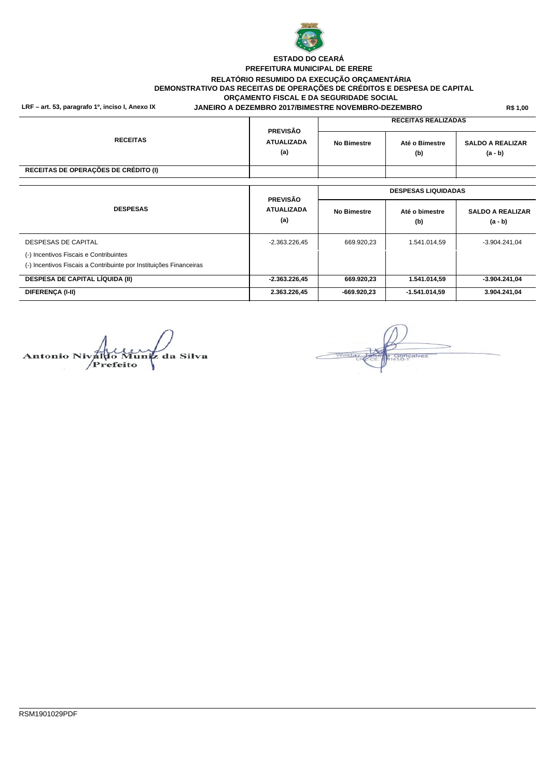

#### **LRF – art. 53, paragrafo 1º, inciso I, Anexo IX R\$ 1,00 JANEIRO A DEZEMBRO 2017/BIMESTRE NOVEMBRO-DEZEMBRO PREFEITURA MUNICIPAL DE ERERE RELATÓRIO RESUMIDO DA EXECUÇÃO ORÇAMENTÁRIA DEMONSTRATIVO DAS RECEITAS DE OPERAÇÕES DE CRÉDITOS E DESPESA DE CAPITAL ORÇAMENTO FISCAL E DA SEGURIDADE SOCIAL ESTADO DO CEARÁ**

| <b>RECEITAS</b>                      | <b>PREVISÃO</b><br><b>ATUALIZADA</b><br>(a) | <b>RECEITAS REALIZADAS</b> |                            |                                      |  |  |
|--------------------------------------|---------------------------------------------|----------------------------|----------------------------|--------------------------------------|--|--|
|                                      |                                             | <b>No Bimestre</b>         | Até o Bimestre<br>(b)      | <b>SALDO A REALIZAR</b><br>$(a - b)$ |  |  |
| RECEITAS DE OPERAÇÕES DE CRÉDITO (I) |                                             |                            |                            |                                      |  |  |
|                                      |                                             |                            |                            |                                      |  |  |
|                                      | $P P U Q \tilde{Q} Q$                       |                            | <b>DESPESAS LIQUIDADAS</b> |                                      |  |  |

|                                                                    | <b>PREVISAO</b>          |                    |                       |                                      |  |  |  |  |
|--------------------------------------------------------------------|--------------------------|--------------------|-----------------------|--------------------------------------|--|--|--|--|
| <b>DESPESAS</b>                                                    | <b>ATUALIZADA</b><br>(a) | <b>No Bimestre</b> | Até o bimestre<br>(b) | <b>SALDO A REALIZAR</b><br>$(a - b)$ |  |  |  |  |
| DESPESAS DE CAPITAL                                                | $-2.363.226.45$          | 669.920,23         | 1.541.014,59          | $-3.904.241.04$                      |  |  |  |  |
| (-) Incentivos Fiscais e Contribuintes                             |                          |                    |                       |                                      |  |  |  |  |
| (-) Incentivos Fiscais a Contribuinte por Instituições Financeiras |                          |                    |                       |                                      |  |  |  |  |
| <b>DESPESA DE CAPITAL LÍQUIDA (II)</b>                             | $-2.363.226.45$          | 669.920,23         | 1.541.014,59          | $-3.904.241.04$                      |  |  |  |  |
| DIFERENCA (I-II)                                                   | 2.363.226.45             | -669.920.23        | $-1.541.014.59$       | 3.904.241.04                         |  |  |  |  |

**Antonio Niva** luniz da Silva /Prefeito

Gonçalves<br>41/0-1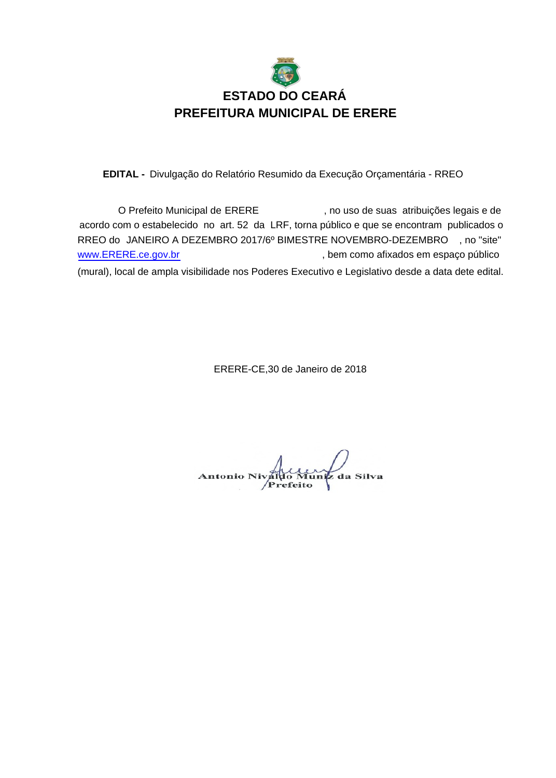

EDITAL - Divulgação do Relatório Resumido da Execução Orçamentária - RREO

O Prefeito Municipal de ERERE , no uso de suas atribuições legais e de acordo com o estabelecido no art. 52 da LRF, torna público e que se encontram publicados o RREO do JANEIRO A DEZEMBRO 2017/6º BIMESTRE NOVEMBRO-DEZEMBRO , no "site" , bem como afixados em espaço público (mural), local de ampla visibilidade nos Poderes Executivo e Legislativo desde a data dete edital. www.ERERE.ce.gov.br

ERERE-CE,30 de Janeiro de 2018

Antonio Nivale uniz da Silva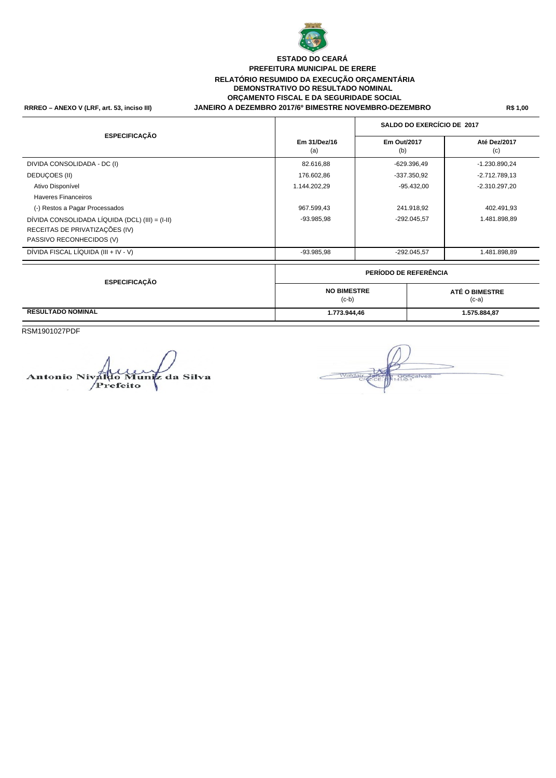

#### **RRREO – ANEXO V (LRF, art. 53, inciso III) R\$ 1,00 JANEIRO A DEZEMBRO 2017/6º BIMESTRE NOVEMBRO-DEZEMBRO PREFEITURA MUNICIPAL DE ERERE RELATÓRIO RESUMIDO DA EXECUÇÃO ORÇAMENTÁRIA DEMONSTRATIVO DO RESULTADO NOMINAL ORÇAMENTO FISCAL E DA SEGURIDADE SOCIAL ESTADO DO CEARÁ**

# (a)  $\qquad \qquad$  (b)  $\qquad \qquad$  (c) **SALDO DO EXERCÍCIO DE 2017 ESPECIFICAÇÃO Em 31/Dez/16 Em Out/2017 Até Dez/2017** DIVIDA CONSOLIDADA - DC (I) 82.616,88 -629.396,49 -1.230.890,24 DEDUÇOES (II) 176.602,86 -337.350,92 -2.712.789,13 Ativo Disponível 1.144.202,29 -95.432,00 -2.310.297,20 Haveres Financeiros (-) Restos a Pagar Processados 967.599,43 241.918,92 402.491,93 DÍVIDA CONSOLIDADA LÍQUIDA (DCL) (III) = (I-II) - 93.985,98 - 93.985,98 - -292.045,57 - -292.045,57 1.481.898,89 RECEITAS DE PRIVATIZAÇÕES (IV) PASSIVO RECONHECIDOS (V) DÍVIDA FISCAL LÍQUIDA (III + IV - V) -93.985,98 -292.045,57 1.481.898,89 (c-b) (c-a) **PERÍODO DE REFERÊNCIA ESPECIFICAÇÃO RESULTADO NOMINAL 1.773.944,46 1.575.884,87 NO BIMESTRE ATÉ O BIMESTRE**

RSM1901027PDF

uniz da Silva ntonio I Prefeito

Gonçalves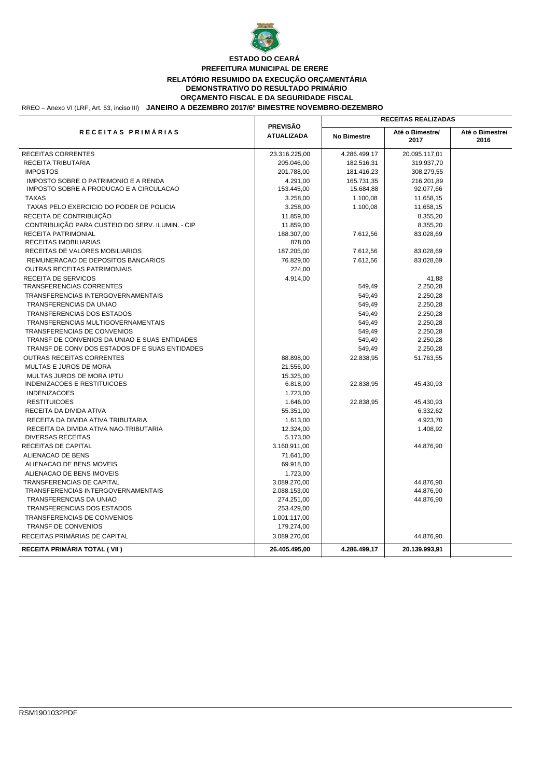

#### RREO – Anexo VI (LRF, Art. 53, inciso III) **JANEIRO A DEZEMBRO 2017/6º BIMESTRE NOVEMBRO-DEZEMBRO PREFEITURA MUNICIPAL DE ERERE RELATÓRIO RESUMIDO DA EXECUÇÃO ORÇAMENTÁRIA DEMONSTRATIVO DO RESULTADO PRIMÁRIO ORÇAMENTO FISCAL E DA SEGURIDADE FISCAL ESTADO DO CEARÁ**

|                                                  | <b>PREVISÃO</b>   |                    | <b>RECEITAS REALIZADAS</b> |                         |
|--------------------------------------------------|-------------------|--------------------|----------------------------|-------------------------|
| RECEITAS PRIMÁRIAS                               | <b>ATUALIZADA</b> | <b>No Bimestre</b> | Até o Bimestre/<br>2017    | Até o Bimestre/<br>2016 |
| <b>RECEITAS CORRENTES</b>                        | 23.316.225,00     | 4.286.499,17       | 20.095.117,01              |                         |
| RECEITA TRIBUTARIA                               | 205.046,00        | 182.516,31         | 319.937,70                 |                         |
| <b>IMPOSTOS</b>                                  | 201.788,00        | 181.416,23         | 308.279,55                 |                         |
| IMPOSTO SOBRE O PATRIMONIO E A RENDA             | 4.291,00          | 165.731,35         | 216.201,89                 |                         |
| IMPOSTO SOBRE A PRODUCAO E A CIRCULACAO          | 153.445,00        | 15.684,88          | 92.077,66                  |                         |
| <b>TAXAS</b>                                     | 3.258,00          | 1.100,08           | 11.658,15                  |                         |
| TAXAS PELO EXERCICIO DO PODER DE POLICIA         | 3.258,00          | 1.100,08           | 11.658,15                  |                         |
| RECEITA DE CONTRIBUIÇÃO                          | 11.859,00         |                    | 8.355,20                   |                         |
| CONTRIBUIÇÃO PARA CUSTEIO DO SERV. ILUMIN. - CIP | 11.859,00         |                    | 8.355,20                   |                         |
| RECEITA PATRIMONIAL                              | 188.307,00        | 7.612,56           | 83.028,69                  |                         |
| RECEITAS IMOBILIARIAS                            | 878,00            |                    |                            |                         |
| RECEITAS DE VALORES MOBILIARIOS                  | 187.205,00        | 7.612,56           | 83.028,69                  |                         |
| REMUNERACAO DE DEPOSITOS BANCARIOS               | 76.829,00         | 7.612,56           | 83.028,69                  |                         |
| <b>OUTRAS RECEITAS PATRIMONIAIS</b>              | 224,00            |                    |                            |                         |
| RECEITA DE SERVICOS                              | 4.914,00          |                    | 41,88                      |                         |
| <b>TRANSFERENCIAS CORRENTES</b>                  |                   | 549,49             | 2.250,28                   |                         |
| TRANSFERENCIAS INTERGOVERNAMENTAIS               |                   | 549,49             | 2.250,28                   |                         |
| TRANSFERENCIAS DA UNIAO                          |                   | 549,49             | 2.250,28                   |                         |
| TRANSFERENCIAS DOS ESTADOS                       |                   | 549,49             | 2.250,28                   |                         |
| TRANSFERENCIAS MULTIGOVERNAMENTAIS               |                   | 549,49             | 2.250,28                   |                         |
| <b>TRANSFERENCIAS DE CONVENIOS</b>               |                   | 549,49             | 2.250,28                   |                         |
| TRANSF DE CONVENIOS DA UNIAO E SUAS ENTIDADES    |                   | 549,49             | 2.250,28                   |                         |
| TRANSF DE CONV DOS ESTADOS DF E SUAS ENTIDADES   |                   | 549,49             | 2.250,28                   |                         |
| OUTRAS RECEITAS CORRENTES                        | 88.898,00         | 22.838,95          | 51.763,55                  |                         |
| MULTAS E JUROS DE MORA                           | 21.556,00         |                    |                            |                         |
| MULTAS JUROS DE MORA IPTU                        | 15.325,00         |                    |                            |                         |
| <b>INDENIZACOES E RESTITUICOES</b>               | 6.818,00          | 22.838,95          | 45.430,93                  |                         |
| <b>INDENIZACOES</b>                              | 1.723,00          |                    |                            |                         |
| <b>RESTITUICOES</b>                              | 1.646,00          | 22.838.95          | 45.430,93                  |                         |
| RECEITA DA DIVIDA ATIVA                          | 55.351,00         |                    | 6.332,62                   |                         |
| RECEITA DA DIVIDA ATIVA TRIBUTARIA               | 1.613,00          |                    | 4.923,70                   |                         |
| RECEITA DA DIVIDA ATIVA NAO-TRIBUTARIA           | 12.324,00         |                    | 1.408,92                   |                         |
| <b>DIVERSAS RECEITAS</b>                         | 5.173,00          |                    |                            |                         |
| RECEITAS DE CAPITAL                              | 3.160.911,00      |                    | 44.876,90                  |                         |
| ALIENACAO DE BENS                                | 71.641,00         |                    |                            |                         |
| ALIENACAO DE BENS MOVEIS                         | 69.918,00         |                    |                            |                         |
| ALIENACAO DE BENS IMOVEIS                        | 1.723,00          |                    |                            |                         |
| <b>TRANSFERENCIAS DE CAPITAL</b>                 | 3.089.270,00      |                    | 44.876,90                  |                         |
| TRANSFERENCIAS INTERGOVERNAMENTAIS               | 2.088.153,00      |                    | 44.876,90                  |                         |
| TRANSFERENCIAS DA UNIAO                          | 274.251,00        |                    | 44.876,90                  |                         |
| <b>TRANSFERENCIAS DOS ESTADOS</b>                | 253.429,00        |                    |                            |                         |
| TRANSFERENCIAS DE CONVENIOS                      | 1.001.117,00      |                    |                            |                         |
| <b>TRANSF DE CONVENIOS</b>                       | 179.274,00        |                    |                            |                         |
| RECEITAS PRIMÁRIAS DE CAPITAL                    | 3.089.270,00      |                    | 44.876,90                  |                         |
| RECEITA PRIMÁRIA TOTAL (VII)                     | 26.405.495,00     | 4.286.499,17       | 20.139.993,91              |                         |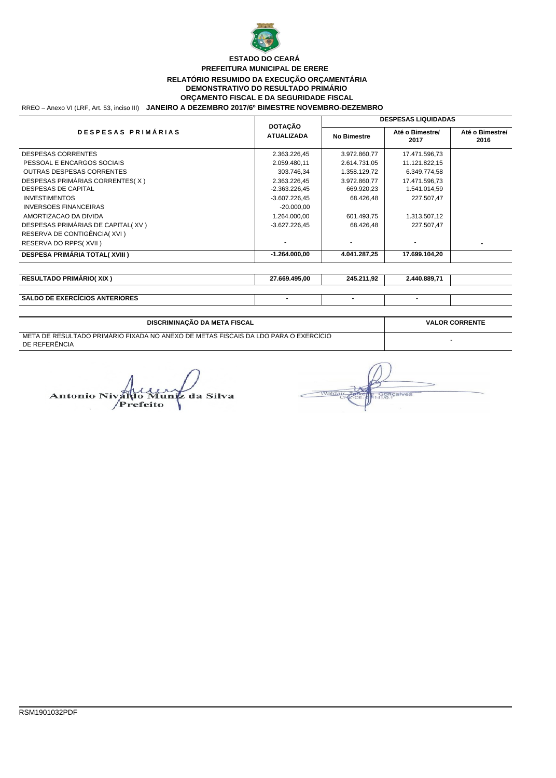

#### RREO – Anexo VI (LRF, Art. 53, inciso III) **JANEIRO A DEZEMBRO 2017/6º BIMESTRE NOVEMBRO-DEZEMBRO PREFEITURA MUNICIPAL DE ERERE RELATÓRIO RESUMIDO DA EXECUÇÃO ORÇAMENTÁRIA DEMONSTRATIVO DO RESULTADO PRIMÁRIO ORÇAMENTO FISCAL E DA SEGURIDADE FISCAL ESTADO DO CEARÁ**

|                                       |                                     | <b>DESPESAS LIQUIDADAS</b> |                         |                         |  |  |
|---------------------------------------|-------------------------------------|----------------------------|-------------------------|-------------------------|--|--|
| DESPESAS PRIMÁRIAS                    | <b>DOTACÃO</b><br><b>ATUALIZADA</b> | <b>No Bimestre</b>         | Até o Bimestre/<br>2017 | Até o Bimestre/<br>2016 |  |  |
| <b>DESPESAS CORRENTES</b>             | 2.363.226,45                        | 3.972.860,77               | 17.471.596,73           |                         |  |  |
| PESSOAL E ENCARGOS SOCIAIS            | 2.059.480,11                        | 2.614.731,05               | 11.121.822,15           |                         |  |  |
| <b>OUTRAS DESPESAS CORRENTES</b>      | 303.746,34                          | 1.358.129,72               | 6.349.774,58            |                         |  |  |
| DESPESAS PRIMÁRIAS CORRENTES(X)       | 2.363.226,45                        | 3.972.860,77               | 17.471.596,73           |                         |  |  |
| DESPESAS DE CAPITAL                   | -2.363.226,45                       | 669.920,23                 | 1.541.014,59            |                         |  |  |
| <b>INVESTIMENTOS</b>                  | $-3.607.226.45$                     | 68.426,48                  | 227.507,47              |                         |  |  |
| <b>INVERSOES FINANCEIRAS</b>          | $-20.000,00$                        |                            |                         |                         |  |  |
| AMORTIZACAO DA DIVIDA                 | 1.264.000,00                        | 601.493,75                 | 1.313.507,12            |                         |  |  |
| DESPESAS PRIMÁRIAS DE CAPITAL(XV)     | $-3.627.226.45$                     | 68.426,48                  | 227.507,47              |                         |  |  |
| RESERVA DE CONTIGÊNCIA(XVI)           |                                     |                            |                         |                         |  |  |
| RESERVA DO RPPS(XVII)                 | ۰                                   | ۰                          |                         |                         |  |  |
| <b>DESPESA PRIMÁRIA TOTAL(XVIII)</b>  | $-1.264.000,00$                     | 4.041.287,25               | 17.699.104,20           |                         |  |  |
| <b>RESULTADO PRIMÁRIO(XIX)</b>        | 27.669.495,00                       | 245.211,92                 | 2.440.889,71            |                         |  |  |
|                                       |                                     |                            |                         |                         |  |  |
| <b>SALDO DE EXERCÍCIOS ANTERIORES</b> | $\overline{\phantom{a}}$            | ۰                          |                         |                         |  |  |

| DISCRIMINAÇÃO DA META FISCAL                                                                         | <b>VALOR CORRENTE</b> |
|------------------------------------------------------------------------------------------------------|-----------------------|
| META DE RESULTADO PRIMARIO FIXADA NO ANEXO DE METAS FISCAIS DA LDO PARA O EXERCÍCIO<br>DE REFERÊNCIA |                       |
|                                                                                                      |                       |

Antonio Nival Muniz da Silva **Prefeito** 

nçalvi Walda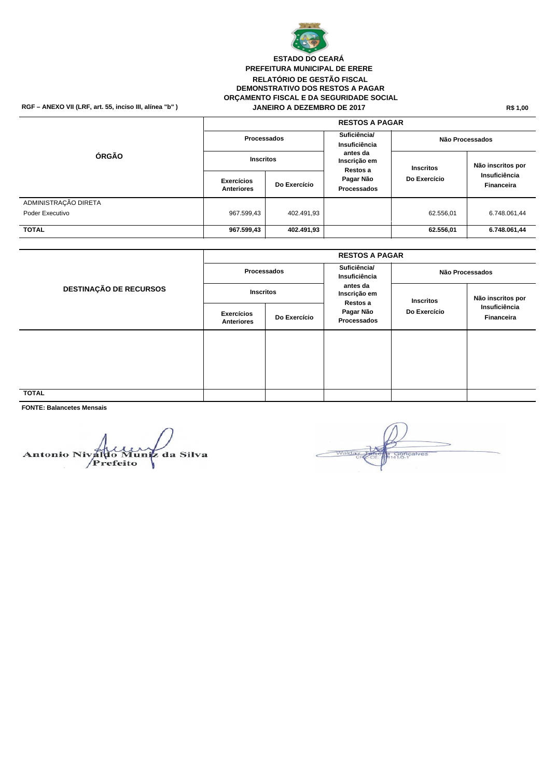

#### RGF – ANEXO VII (LRF, art. 55, inciso III, alínea "b" ) **JANEIRO A DEZEMBRO DE 2017** R\$ 1,00 **PREFEITURA MUNICIPAL DE ERERE RELATÓRIO DE GESTÃO FISCAL DEMONSTRATIVO DOS RESTOS A PAGAR ORÇAMENTO FISCAL E DA SEGURIDADE SOCIAL JANEIRO A DEZEMBRO DE 2017 ESTADO DO CEARÁ**

|                      | <b>RESTOS A PAGAR</b>                  |              |                                      |                  |                                    |  |  |  |  |
|----------------------|----------------------------------------|--------------|--------------------------------------|------------------|------------------------------------|--|--|--|--|
| ÓRGÃO                | Processados                            |              | Suficiência/<br>Insuficiência        | Não Processados  |                                    |  |  |  |  |
|                      | <b>Inscritos</b>                       |              | antes da<br>Inscrição em<br>Restos a | <b>Inscritos</b> | Não inscritos por                  |  |  |  |  |
|                      | <b>Exercícios</b><br><b>Anteriores</b> | Do Exercício | Pagar Não<br>Processados             | Do Exercício     | Insuficiência<br><b>Financeira</b> |  |  |  |  |
| ADMINISTRAÇÃO DIRETA |                                        |              |                                      |                  |                                    |  |  |  |  |
| Poder Executivo      | 967.599,43                             | 402.491,93   |                                      | 62.556,01        | 6.748.061,44                       |  |  |  |  |
| <b>TOTAL</b>         | 967.599,43                             | 402.491,93   |                                      | 62.556,01        | 6.748.061,44                       |  |  |  |  |

| <b>DESTINAÇÃO DE RECURSOS</b> | <b>RESTOS A PAGAR</b>           |              |                                      |                  |                             |  |
|-------------------------------|---------------------------------|--------------|--------------------------------------|------------------|-----------------------------|--|
|                               | Processados                     |              | Suficiência/<br>Insuficiência        | Não Processados  |                             |  |
|                               | <b>Inscritos</b>                |              | antes da<br>Inscrição em<br>Restos a | <b>Inscritos</b> | Não inscritos por           |  |
|                               | <b>Exercícios</b><br>Anteriores | Do Exercício | Pagar Não<br>Processados             | Do Exercício     | Insuficiência<br>Financeira |  |
|                               |                                 |              |                                      |                  |                             |  |
|                               |                                 |              |                                      |                  |                             |  |
| <b>TOTAL</b>                  |                                 |              |                                      |                  |                             |  |
|                               |                                 |              |                                      |                  |                             |  |

**FONTE: Balancetes Mensais**

**Antonio Nival** Muniz da Silva Prefeito

**agricalves**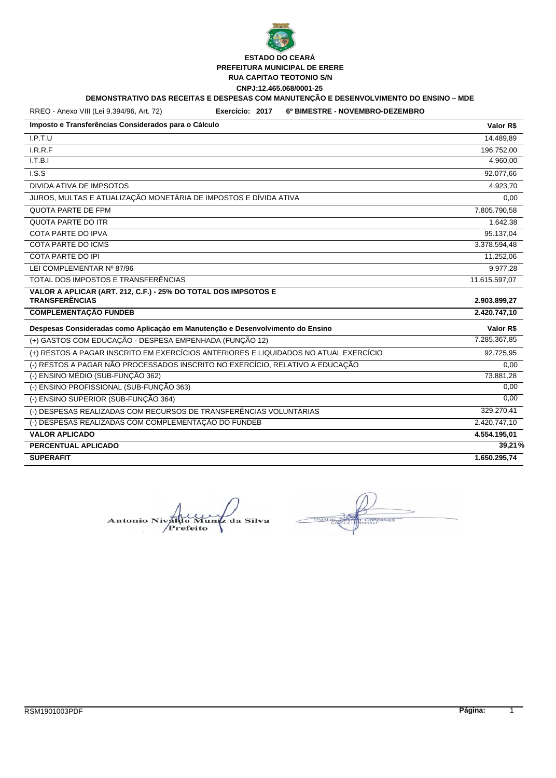

# **PREFEITURA MUNICIPAL DE ERERE**

**RUA CAPITAO TEOTONIO S/N**

**CNPJ:12.465.068/0001-25**

# **DEMONSTRATIVO DAS RECEITAS E DESPESAS COM MANUTENÇÃO E DESENVOLVIMENTO DO ENSINO – MDE**

RREO - Anexo VIII (Lei 9.394/96, Art. 72)

**Exercício: 2017 6º BIMESTRE - NOVEMBRO-DEZEMBRO**

| Imposto e Transferências Considerados para o Cálculo                                 | Valor R\$     |
|--------------------------------------------------------------------------------------|---------------|
| I.P.T.U                                                                              | 14.489,89     |
| I.R.R.F                                                                              | 196.752,00    |
| I.T.B.I                                                                              | 4.960,00      |
| LS.S                                                                                 | 92.077,66     |
| DIVIDA ATIVA DE IMPSOTOS                                                             | 4.923,70      |
| JUROS, MULTAS E ATUALIZAÇÃO MONETÁRIA DE IMPOSTOS E DÍVIDA ATIVA                     | 0,00          |
| <b>QUOTA PARTE DE FPM</b>                                                            | 7.805.790,58  |
| <b>QUOTA PARTE DO ITR</b>                                                            | 1.642,38      |
| COTA PARTE DO IPVA                                                                   | 95.137,04     |
| <b>COTA PARTE DO ICMS</b>                                                            | 3.378.594,48  |
| <b>COTA PARTE DO IPI</b>                                                             | 11.252,06     |
| LEI COMPLEMENTAR Nº 87/96                                                            | 9.977,28      |
| TOTAL DOS IMPOSTOS E TRANSFERÊNCIAS                                                  | 11.615.597,07 |
| VALOR A APLICAR (ART. 212, C.F.) - 25% DO TOTAL DOS IMPSOTOS E                       |               |
| <b>TRANSFERÊNCIAS</b>                                                                | 2.903.899,27  |
| <b>COMPLEMENTAÇÃO FUNDEB</b>                                                         | 2.420.747,10  |
| Despesas Consideradas como Aplicação em Manutenção e Desenvolvimento do Ensino       | Valor R\$     |
| (+) GASTOS COM EDUCAÇÃO - DESPESA EMPENHADA (FUNÇÃO 12)                              | 7.285.367,85  |
| (+) RESTOS A PAGAR INSCRITO EM EXERCÍCIOS ANTERIORES E LIQUIDADOS NO ATUAL EXERCÍCIO | 92.725,95     |
| (-) RESTOS A PAGAR NÃO PROCESSADOS INSCRITO NO EXERCÍCIO, RELATIVO A EDUCAÇÃO        | 0,00          |
| (-) ENSINO MÉDIO (SUB-FUNÇÃO 362)                                                    | 73.881,28     |
| (-) ENSINO PROFISSIONAL (SUB-FUNÇÃO 363)                                             | 0,00          |
| (-) ENSINO SUPERIOR (SUB-FUNÇÃO 364)                                                 | 0,00          |
| (-) DESPESAS REALIZADAS COM RECURSOS DE TRANSFERÊNCIAS VOLUNTÁRIAS                   | 329.270,41    |
| (-) DESPESAS REALIZADAS COM COMPLEMENTAÇÃO DO FUNDEB                                 | 2.420.747,10  |
| <b>VALOR APLICADO</b>                                                                | 4.554.195,01  |
| PERCENTUAL APLICADO                                                                  | 39,21%        |
| <b>SUPERAFIT</b>                                                                     | 1.650.295,74  |

**Antonio Niv** Mun iz da Silva Prefeito

alver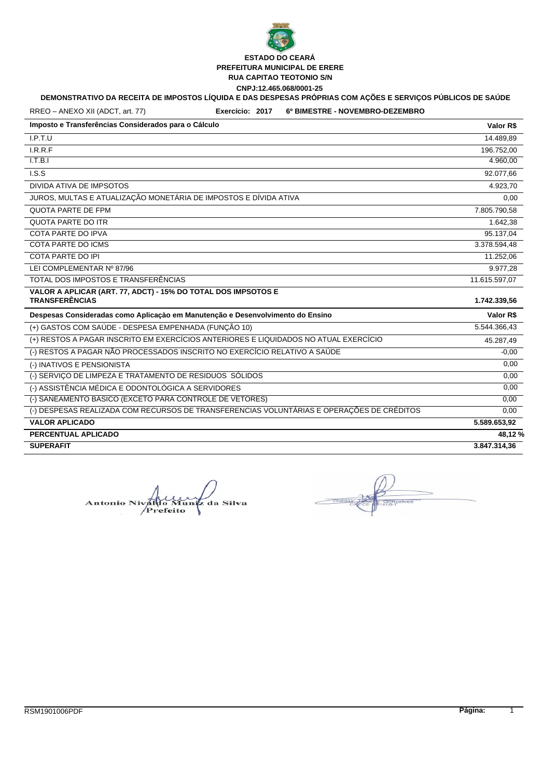

# **DEMONSTRATIVO DA RECEITA DE IMPOSTOS LÍQUIDA E DAS DESPESAS PRÓPRIAS COM AÇÕES E SERVIÇOS PÚBLICOS DE SAÚDE**

RREO – ANEXO XII (ADCT, art. 77)

**Exercício: 2017 6º BIMESTRE - NOVEMBRO-DEZEMBRO**

| Imposto e Transferências Considerados para o Cálculo                                      | Valor R\$     |
|-------------------------------------------------------------------------------------------|---------------|
| I.P.T.U                                                                                   | 14.489,89     |
| I.R.R.F                                                                                   | 196.752,00    |
| I.T.B.I                                                                                   | 4.960,00      |
| LS.S                                                                                      | 92.077,66     |
| DIVIDA ATIVA DE IMPSOTOS                                                                  | 4.923,70      |
| JUROS, MULTAS E ATUALIZAÇÃO MONETÁRIA DE IMPOSTOS E DÍVIDA ATIVA                          | 0,00          |
| QUOTA PARTE DE FPM                                                                        | 7.805.790,58  |
| <b>QUOTA PARTE DO ITR</b>                                                                 | 1.642.38      |
| COTA PARTE DO IPVA                                                                        | 95.137,04     |
| <b>COTA PARTE DO ICMS</b>                                                                 | 3.378.594,48  |
| COTA PARTE DO IPI                                                                         | 11.252,06     |
| LEI COMPLEMENTAR Nº 87/96                                                                 | 9.977,28      |
| TOTAL DOS IMPOSTOS E TRANSFERÊNCIAS                                                       | 11.615.597,07 |
| VALOR A APLICAR (ART. 77, ADCT) - 15% DO TOTAL DOS IMPSOTOS E                             |               |
| <b>TRANSFERÊNCIAS</b>                                                                     | 1.742.339,56  |
| Despesas Consideradas como Aplicação em Manutenção e Desenvolvimento do Ensino            | Valor R\$     |
| (+) GASTOS COM SAÚDE - DESPESA EMPENHADA (FUNÇÃO 10)                                      | 5.544.366,43  |
| (+) RESTOS A PAGAR INSCRITO EM EXERCÍCIOS ANTERIORES E LIQUIDADOS NO ATUAL EXERCÍCIO      | 45.287,49     |
| (-) RESTOS A PAGAR NÃO PROCESSADOS INSCRITO NO EXERCÍCIO RELATIVO A SAÚDE                 | $-0.00$       |
| (-) INATIVOS E PENSIONISTA                                                                | 0,00          |
| (-) SERVIÇO DE LIMPEZA E TRATAMENTO DE RESIDUOS SÓLIDOS                                   | 0,00          |
| (-) ASSISTÊNCIA MÉDICA E ODONTOLÓGICA A SERVIDORES                                        | 0,00          |
| (-) SANEAMENTO BÁSICO (EXCETO PARA CONTROLE DE VETORES)                                   | 0,00          |
| (-) DESPESAS REALIZADA COM RECURSOS DE TRANSFERENCIAS VOLUNTÁRIAS E OPERAÇÕES DE CRÉDITOS | 0,00          |
| <b>VALOR APLICADO</b>                                                                     | 5.589.653,92  |
| PERCENTUAL APLICADO                                                                       | 48,12%        |
| <b>SUPERAFIT</b>                                                                          | 3.847.314,36  |

da Silva **Antonio Ni** efeito